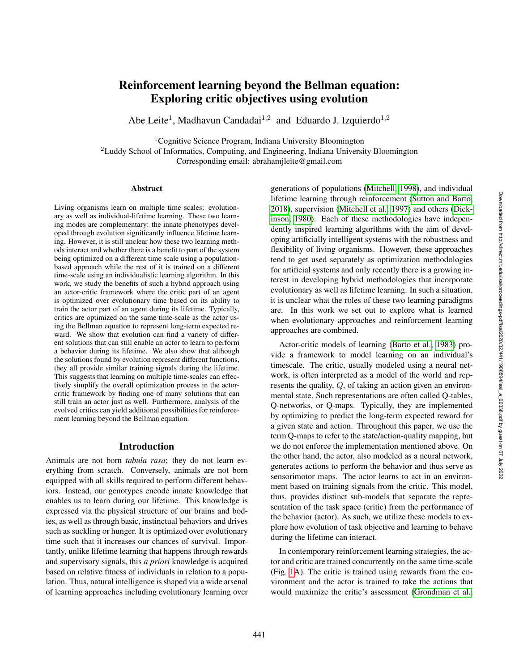# Reinforcement learning beyond the Bellman equation: Exploring critic objectives using evolution

Abe Leite<sup>1</sup>, Madhavun Candadai<sup>1,2</sup> and Eduardo J. Izquierdo<sup>1,2</sup>

<sup>1</sup>Cognitive Science Program, Indiana University Bloomington

<sup>2</sup>Luddy School of Informatics, Computing, and Engineering, Indiana University Bloomington Corresponding email: abrahamjleite@gmail.com

#### Abstract

Living organisms learn on multiple time scales: evolutionary as well as individual-lifetime learning. These two learning modes are complementary: the innate phenotypes developed through evolution significantly influence lifetime learning. However, it is still unclear how these two learning methods interact and whether there is a benefit to part of the system being optimized on a different time scale using a populationbased approach while the rest of it is trained on a different time-scale using an individualistic learning algorithm. In this work, we study the benefits of such a hybrid approach using an actor-critic framework where the critic part of an agent is optimized over evolutionary time based on its ability to train the actor part of an agent during its lifetime. Typically, critics are optimized on the same time-scale as the actor using the Bellman equation to represent long-term expected reward. We show that evolution can find a variety of different solutions that can still enable an actor to learn to perform a behavior during its lifetime. We also show that although the solutions found by evolution represent different functions, they all provide similar training signals during the lifetime. This suggests that learning on multiple time-scales can effectively simplify the overall optimization process in the actorcritic framework by finding one of many solutions that can still train an actor just as well. Furthermore, analysis of the evolved critics can yield additional possibilities for reinforcement learning beyond the Bellman equation.

## Introduction

Animals are not born *tabula rasa*; they do not learn everything from scratch. Conversely, animals are not born equipped with all skills required to perform different behaviors. Instead, our genotypes encode innate knowledge that enables us to learn during our lifetime. This knowledge is expressed via the physical structure of our brains and bodies, as well as through basic, instinctual behaviors and drives such as suckling or hunger. It is optimized over evolutionary time such that it increases our chances of survival. Importantly, unlike lifetime learning that happens through rewards and supervisory signals, this *a priori* knowledge is acquired based on relative fitness of individuals in relation to a population. Thus, natural intelligence is shaped via a wide arsenal of learning approaches including evolutionary learning over

generations of populations [\(Mitchell, 1998\)](#page-8-0), and individual lifetime learning through reinforcement [\(Sutton and Barto,](#page-8-1) [2018\)](#page-8-1), supervision [\(Mitchell et al., 1997\)](#page-8-2) and others [\(Dick](#page-7-0)[inson, 1980\)](#page-7-0). Each of these methodologies have independently inspired learning algorithms with the aim of developing artificially intelligent systems with the robustness and flexibility of living organisms. However, these approaches tend to get used separately as optimization methodologies for artificial systems and only recently there is a growing interest in developing hybrid methodologies that incorporate evolutionary as well as lifetime learning. In such a situation, it is unclear what the roles of these two learning paradigms are. In this work we set out to explore what is learned when evolutionary approaches and reinforcement learning approaches are combined.

Actor-critic models of learning [\(Barto et al., 1983\)](#page-7-1) provide a framework to model learning on an individual's timescale. The critic, usually modeled using a neural network, is often interpreted as a model of the world and represents the quality, Q, of taking an action given an environmental state. Such representations are often called Q-tables, Q-networks, or Q-maps. Typically, they are implemented by optimizing to predict the long-term expected reward for a given state and action. Throughout this paper, we use the term Q-maps to refer to the state/action-quality mapping, but we do not enforce the implementation mentioned above. On the other hand, the actor, also modeled as a neural network, generates actions to perform the behavior and thus serve as sensorimotor maps. The actor learns to act in an environment based on training signals from the critic. This model, thus, provides distinct sub-models that separate the representation of the task space (critic) from the performance of the behavior (actor). As such, we utilize these models to explore how evolution of task objective and learning to behave during the lifetime can interact.

In contemporary reinforcement learning strategies, the actor and critic are trained concurrently on the same time-scale (Fig. [1A](#page-1-0)). The critic is trained using rewards from the environment and the actor is trained to take the actions that would maximize the critic's assessment [\(Grondman et al.,](#page-8-3)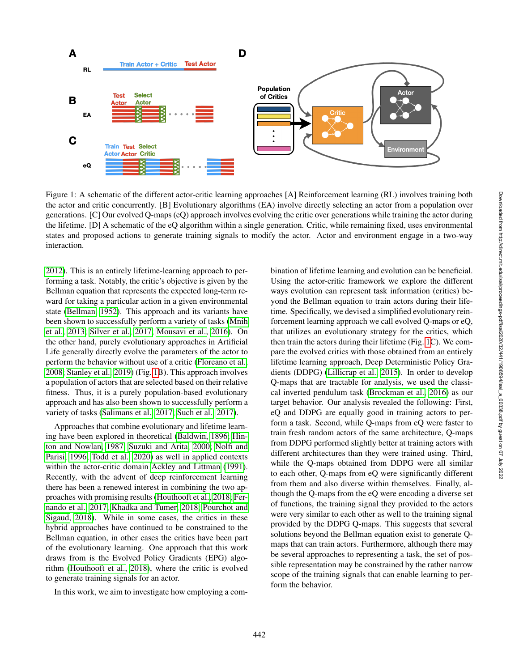

<span id="page-1-0"></span>Figure 1: A schematic of the different actor-critic learning approaches [A] Reinforcement learning (RL) involves training both the actor and critic concurrently. [B] Evolutionary algorithms (EA) involve directly selecting an actor from a population over generations. [C] Our evolved Q-maps (eQ) approach involves evolving the critic over generations while training the actor during the lifetime. [D] A schematic of the eQ algorithm within a single generation. Critic, while remaining fixed, uses environmental states and proposed actions to generate training signals to modify the actor. Actor and environment engage in a two-way interaction.

[2012\)](#page-8-3). This is an entirely lifetime-learning approach to performing a task. Notably, the critic's objective is given by the Bellman equation that represents the expected long-term reward for taking a particular action in a given environmental state [\(Bellman, 1952\)](#page-7-2). This approach and its variants have been shown to successfully perform a variety of tasks [\(Mnih](#page-8-4) [et al., 2013;](#page-8-4) [Silver et al., 2017;](#page-8-5) [Mousavi et al., 2016\)](#page-8-6). On the other hand, purely evolutionary approaches in Artificial Life generally directly evolve the parameters of the actor to perform the behavior without use of a critic [\(Floreano et al.,](#page-8-7) [2008;](#page-8-7) [Stanley et al., 2019\)](#page-8-8) (Fig. [1B](#page-1-0)). This approach involves a population of actors that are selected based on their relative fitness. Thus, it is a purely population-based evolutionary approach and has also been shown to successfully perform a variety of tasks [\(Salimans et al., 2017;](#page-8-9) [Such et al., 2017\)](#page-8-10).

Approaches that combine evolutionary and lifetime learning have been explored in theoretical [\(Baldwin, 1896;](#page-7-3) [Hin](#page-8-11)[ton and Nowlan, 1987;](#page-8-11) [Suzuki and Arita, 2000;](#page-8-12) [Nolfi and](#page-8-13) [Parisi, 1996;](#page-8-13) [Todd et al., 2020\)](#page-8-14) as well in applied contexts within the actor-critic domain [Ackley and Littman](#page-7-4) [\(1991\)](#page-7-4). Recently, with the advent of deep reinforcement learning there has been a renewed interest in combining the two approaches with promising results [\(Houthooft et al., 2018;](#page-8-15) [Fer](#page-8-16)[nando et al., 2017;](#page-8-16) [Khadka and Tumer, 2018;](#page-8-17) [Pourchot and](#page-8-18) [Sigaud, 2018\)](#page-8-18). While in some cases, the critics in these hybrid approaches have continued to be constrained to the Bellman equation, in other cases the critics have been part of the evolutionary learning. One approach that this work draws from is the Evolved Policy Gradients (EPG) algorithm [\(Houthooft et al., 2018\)](#page-8-15), where the critic is evolved to generate training signals for an actor.

In this work, we aim to investigate how employing a com-

bination of lifetime learning and evolution can be beneficial. Using the actor-critic framework we explore the different ways evolution can represent task information (critics) beyond the Bellman equation to train actors during their lifetime. Specifically, we devised a simplified evolutionary reinforcement learning approach we call evolved Q-maps or eQ, that utilizes an evolutionary strategy for the critics, which then train the actors during their lifetime (Fig. [1C](#page-1-0)). We compare the evolved critics with those obtained from an entirely lifetime learning approach, Deep Deterministic Policy Gradients (DDPG) [\(Lillicrap et al., 2015\)](#page-8-19). In order to develop Q-maps that are tractable for analysis, we used the classical inverted pendulum task [\(Brockman et al., 2016\)](#page-7-5) as our target behavior. Our analysis revealed the following: First, eQ and DDPG are equally good in training actors to perform a task. Second, while Q-maps from eQ were faster to train fresh random actors of the same architecture, Q-maps from DDPG performed slightly better at training actors with different architectures than they were trained using. Third, while the Q-maps obtained from DDPG were all similar to each other, Q-maps from eQ were significantly different from them and also diverse within themselves. Finally, although the Q-maps from the eQ were encoding a diverse set of functions, the training signal they provided to the actors were very similar to each other as well to the training signal provided by the DDPG Q-maps. This suggests that several solutions beyond the Bellman equation exist to generate Qmaps that can train actors. Furthermore, although there may be several approaches to representing a task, the set of possible representation may be constrained by the rather narrow scope of the training signals that can enable learning to perform the behavior.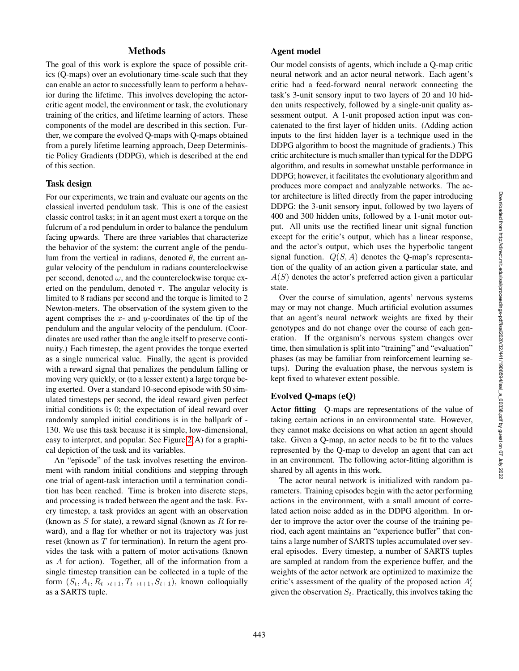# **Methods**

The goal of this work is explore the space of possible critics (Q-maps) over an evolutionary time-scale such that they can enable an actor to successfully learn to perform a behavior during the lifetime. This involves developing the actorcritic agent model, the environment or task, the evolutionary training of the critics, and lifetime learning of actors. These components of the model are described in this section. Further, we compare the evolved Q-maps with Q-maps obtained from a purely lifetime learning approach, Deep Deterministic Policy Gradients (DDPG), which is described at the end of this section.

#### Task design

For our experiments, we train and evaluate our agents on the classical inverted pendulum task. This is one of the easiest classic control tasks; in it an agent must exert a torque on the fulcrum of a rod pendulum in order to balance the pendulum facing upwards. There are three variables that characterize the behavior of the system: the current angle of the pendulum from the vertical in radians, denoted  $\theta$ , the current angular velocity of the pendulum in radians counterclockwise per second, denoted  $\omega$ , and the counterclockwise torque exerted on the pendulum, denoted  $\tau$ . The angular velocity is limited to 8 radians per second and the torque is limited to 2 Newton-meters. The observation of the system given to the agent comprises the  $x$ - and  $y$ -coordinates of the tip of the pendulum and the angular velocity of the pendulum. (Coordinates are used rather than the angle itself to preserve continuity.) Each timestep, the agent provides the torque exerted as a single numerical value. Finally, the agent is provided with a reward signal that penalizes the pendulum falling or moving very quickly, or (to a lesser extent) a large torque being exerted. Over a standard 10-second episode with 50 simulated timesteps per second, the ideal reward given perfect initial conditions is 0; the expectation of ideal reward over randomly sampled initial conditions is in the ballpark of - 130. We use this task because it is simple, low-dimensional, easy to interpret, and popular. See Figure [2\(](#page-3-0)A) for a graphical depiction of the task and its variables.

An "episode" of the task involves resetting the environment with random initial conditions and stepping through one trial of agent-task interaction until a termination condition has been reached. Time is broken into discrete steps, and processing is traded between the agent and the task. Every timestep, a task provides an agent with an observation (known as  $S$  for state), a reward signal (known as  $R$  for reward), and a flag for whether or not its trajectory was just reset (known as  $T$  for termination). In return the agent provides the task with a pattern of motor activations (known as A for action). Together, all of the information from a single timestep transition can be collected in a tuple of the form  $(S_t, A_t, R_{t \to t+1}, T_{t \to t+1}, S_{t+1})$ , known colloquially as a SARTS tuple.

# Agent model

Our model consists of agents, which include a Q-map critic neural network and an actor neural network. Each agent's critic had a feed-forward neural network connecting the task's 3-unit sensory input to two layers of 20 and 10 hidden units respectively, followed by a single-unit quality assessment output. A 1-unit proposed action input was concatenated to the first layer of hidden units. (Adding action inputs to the first hidden layer is a technique used in the DDPG algorithm to boost the magnitude of gradients.) This critic architecture is much smaller than typical for the DDPG algorithm, and results in somewhat unstable performance in DDPG; however, it facilitates the evolutionary algorithm and produces more compact and analyzable networks. The actor architecture is lifted directly from the paper introducing DDPG: the 3-unit sensory input, followed by two layers of 400 and 300 hidden units, followed by a 1-unit motor output. All units use the rectified linear unit signal function except for the critic's output, which has a linear response, and the actor's output, which uses the hyperbolic tangent signal function.  $Q(S, A)$  denotes the Q-map's representation of the quality of an action given a particular state, and  $A(S)$  denotes the actor's preferred action given a particular state.

Over the course of simulation, agents' nervous systems may or may not change. Much artificial evolution assumes that an agent's neural network weights are fixed by their genotypes and do not change over the course of each generation. If the organism's nervous system changes over time, then simulation is split into "training" and "evaluation" phases (as may be familiar from reinforcement learning setups). During the evaluation phase, the nervous system is kept fixed to whatever extent possible.

# Evolved Q-maps (eQ)

Actor fitting Q-maps are representations of the value of taking certain actions in an environmental state. However, they cannot make decisions on what action an agent should take. Given a Q-map, an actor needs to be fit to the values represented by the Q-map to develop an agent that can act in an environment. The following actor-fitting algorithm is shared by all agents in this work.

The actor neural network is initialized with random parameters. Training episodes begin with the actor performing actions in the environment, with a small amount of correlated action noise added as in the DDPG algorithm. In order to improve the actor over the course of the training period, each agent maintains an "experience buffer" that contains a large number of SARTS tuples accumulated over several episodes. Every timestep, a number of SARTS tuples are sampled at random from the experience buffer, and the weights of the actor network are optimized to maximize the critic's assessment of the quality of the proposed action  $A_t'$ given the observation  $S_t$ . Practically, this involves taking the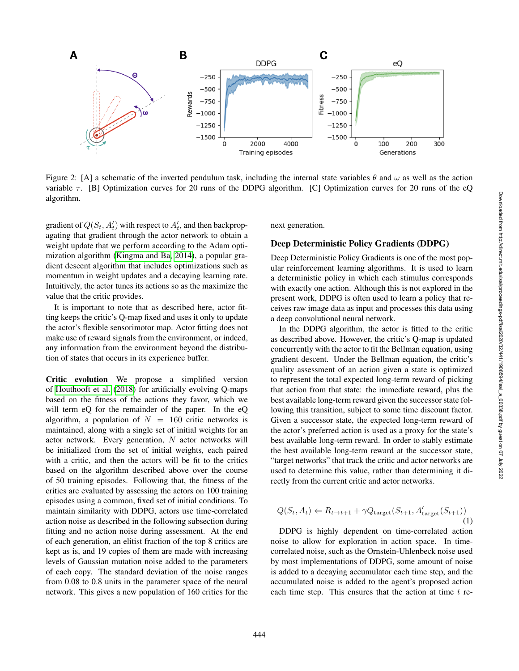

<span id="page-3-0"></span>Figure 2: [A] a schematic of the inverted pendulum task, including the internal state variables  $\theta$  and  $\omega$  as well as the action variable  $\tau$ . [B] Optimization curves for 20 runs of the DDPG algorithm. [C] Optimization curves for 20 runs of the eQ algorithm.

gradient of  $Q(S_t, A_t)$  with respect to  $A_t$ , and then backpropagating that gradient through the actor network to obtain a weight update that we perform according to the Adam optimization algorithm [\(Kingma and Ba, 2014\)](#page-8-20), a popular gradient descent algorithm that includes optimizations such as momentum in weight updates and a decaying learning rate. Intuitively, the actor tunes its actions so as the maximize the value that the critic provides.

It is important to note that as described here, actor fitting keeps the critic's Q-map fixed and uses it only to update the actor's flexible sensorimotor map. Actor fitting does not make use of reward signals from the environment, or indeed, any information from the environment beyond the distribution of states that occurs in its experience buffer.

Critic evolution We propose a simplified version of [Houthooft et al.](#page-8-15) [\(2018\)](#page-8-15) for artificially evolving Q-maps based on the fitness of the actions they favor, which we will term eQ for the remainder of the paper. In the eQ algorithm, a population of  $N = 160$  critic networks is maintained, along with a single set of initial weights for an actor network. Every generation,  $N$  actor networks will be initialized from the set of initial weights, each paired with a critic, and then the actors will be fit to the critics based on the algorithm described above over the course of 50 training episodes. Following that, the fitness of the critics are evaluated by assessing the actors on 100 training episodes using a common, fixed set of initial conditions. To maintain similarity with DDPG, actors use time-correlated action noise as described in the following subsection during fitting and no action noise during assessment. At the end of each generation, an elitist fraction of the top 8 critics are kept as is, and 19 copies of them are made with increasing levels of Gaussian mutation noise added to the parameters of each copy. The standard deviation of the noise ranges from 0.08 to 0.8 units in the parameter space of the neural network. This gives a new population of 160 critics for the

next generation.

#### Deep Deterministic Policy Gradients (DDPG)

Deep Deterministic Policy Gradients is one of the most popular reinforcement learning algorithms. It is used to learn a deterministic policy in which each stimulus corresponds with exactly one action. Although this is not explored in the present work, DDPG is often used to learn a policy that receives raw image data as input and processes this data using a deep convolutional neural network.

In the DDPG algorithm, the actor is fitted to the critic as described above. However, the critic's Q-map is updated concurrently with the actor to fit the Bellman equation, using gradient descent. Under the Bellman equation, the critic's quality assessment of an action given a state is optimized to represent the total expected long-term reward of picking that action from that state: the immediate reward, plus the best available long-term reward given the successor state following this transition, subject to some time discount factor. Given a successor state, the expected long-term reward of the actor's preferred action is used as a proxy for the state's best available long-term reward. In order to stably estimate the best available long-term reward at the successor state, "target networks" that track the critic and actor networks are used to determine this value, rather than determining it directly from the current critic and actor networks.

$$
Q(S_t, A_t) \Leftarrow R_{t \to t+1} + \gamma Q_{\text{target}}(S_{t+1}, A'_{\text{target}}(S_{t+1}))
$$
\n(1)

DDPG is highly dependent on time-correlated action noise to allow for exploration in action space. In timecorrelated noise, such as the Ornstein-Uhlenbeck noise used by most implementations of DDPG, some amount of noise is added to a decaying accumulator each time step, and the accumulated noise is added to the agent's proposed action each time step. This ensures that the action at time  $t$  re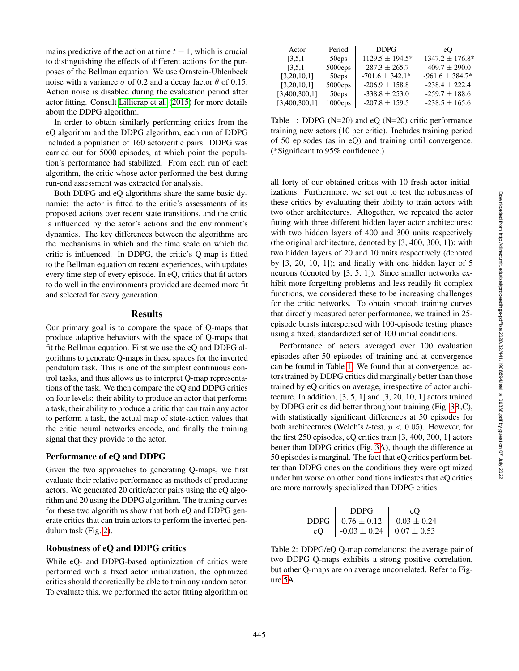mains predictive of the action at time  $t + 1$ , which is crucial to distinguishing the effects of different actions for the purposes of the Bellman equation. We use Ornstein-Uhlenbeck noise with a variance  $\sigma$  of 0.2 and a decay factor  $\theta$  of 0.15. Action noise is disabled during the evaluation period after actor fitting. Consult [Lillicrap et al.](#page-8-19) [\(2015\)](#page-8-19) for more details about the DDPG algorithm.

In order to obtain similarly performing critics from the eQ algorithm and the DDPG algorithm, each run of DDPG included a population of 160 actor/critic pairs. DDPG was carried out for 5000 episodes, at which point the population's performance had stabilized. From each run of each algorithm, the critic whose actor performed the best during run-end assessment was extracted for analysis.

Both DDPG and eQ algorithms share the same basic dynamic: the actor is fitted to the critic's assessments of its proposed actions over recent state transitions, and the critic is influenced by the actor's actions and the environment's dynamics. The key differences between the algorithms are the mechanisms in which and the time scale on which the critic is influenced. In DDPG, the critic's Q-map is fitted to the Bellman equation on recent experiences, with updates every time step of every episode. In eQ, critics that fit actors to do well in the environments provided are deemed more fit and selected for every generation.

## **Results**

Our primary goal is to compare the space of Q-maps that produce adaptive behaviors with the space of Q-maps that fit the Bellman equation. First we use the eQ and DDPG algorithms to generate Q-maps in these spaces for the inverted pendulum task. This is one of the simplest continuous control tasks, and thus allows us to interpret Q-map representations of the task. We then compare the eQ and DDPG critics on four levels: their ability to produce an actor that performs a task, their ability to produce a critic that can train any actor to perform a task, the actual map of state-action values that the critic neural networks encode, and finally the training signal that they provide to the actor.

## Performance of eQ and DDPG

Given the two approaches to generating Q-maps, we first evaluate their relative performance as methods of producing actors. We generated 20 critic/actor pairs using the eQ algorithm and 20 using the DDPG algorithm. The training curves for these two algorithms show that both eQ and DDPG generate critics that can train actors to perform the inverted pendulum task (Fig. [2\)](#page-3-0).

### Robustness of eQ and DDPG critics

While eQ- and DDPG-based optimization of critics were performed with a fixed actor initialization, the optimized critics should theoretically be able to train any random actor. To evaluate this, we performed the actor fitting algorithm on

| Actor         | Period  | <b>DDPG</b>           | eO                    |
|---------------|---------|-----------------------|-----------------------|
| [3,5,1]       | 50eps   | $-1129.5 \pm 194.5^*$ | $-1347.2 \pm 176.8^*$ |
| [3,5,1]       | 5000eps | $-287.3 \pm 265.7$    | $-409.7 \pm 290.0$    |
| [3,20,10,1]   | 50eps   | $-701.6 + 342.1*$     | $-961.6 \pm 384.7*$   |
| [3,20,10,1]   | 5000eps | $-206.9 \pm 158.8$    | $-238.4 + 222.4$      |
| [3,400,300,1] | 50eps   | $-338.8 \pm 253.0$    | $-259.7 \pm 188.6$    |
| [3,400,300,1] | 1000eps | $-207.8 \pm 159.5$    | $-238.5 \pm 165.6$    |

<span id="page-4-0"></span>Table 1: DDPG (N=20) and eQ (N=20) critic performance training new actors (10 per critic). Includes training period of 50 episodes (as in eQ) and training until convergence. (\*Significant to 95% confidence.)

all forty of our obtained critics with 10 fresh actor initializations. Furthermore, we set out to test the robustness of these critics by evaluating their ability to train actors with two other architectures. Altogether, we repeated the actor fitting with three different hidden layer actor architectures: with two hidden layers of 400 and 300 units respectively (the original architecture, denoted by [3, 400, 300, 1]); with two hidden layers of 20 and 10 units respectively (denoted by [3, 20, 10, 1]); and finally with one hidden layer of 5 neurons (denoted by [3, 5, 1]). Since smaller networks exhibit more forgetting problems and less readily fit complex functions, we considered these to be increasing challenges for the critic networks. To obtain smooth training curves that directly measured actor performance, we trained in 25 episode bursts interspersed with 100-episode testing phases using a fixed, standardized set of 100 initial conditions.

Performance of actors averaged over 100 evaluation episodes after 50 episodes of training and at convergence can be found in Table [1.](#page-4-0) We found that at convergence, actors trained by DDPG critics did marginally better than those trained by eQ critics on average, irrespective of actor architecture. In addition, [3, 5, 1] and [3, 20, 10, 1] actors trained by DDPG critics did better throughout training (Fig. [3B](#page-5-0),C), with statistically significant differences at 50 episodes for both architectures (Welch's t-test,  $p < 0.05$ ). However, for the first 250 episodes, eQ critics train [3, 400, 300, 1] actors better than DDPG critics (Fig. [3A](#page-5-0)), though the difference at 50 episodes is marginal. The fact that eQ critics perform better than DDPG ones on the conditions they were optimized under but worse on other conditions indicates that eQ critics are more narrowly specialized than DDPG critics.

|    | <b>DDPG</b>                                     | $e$ O |
|----|-------------------------------------------------|-------|
|    | DDPG   $0.76 \pm 0.12$   $-0.03 \pm 0.24$       |       |
| eO | $\vert 0.03 \pm 0.24 \vert 0.07 \pm 0.53 \vert$ |       |

<span id="page-4-1"></span>Table 2: DDPG/eQ Q-map correlations: the average pair of two DDPG Q-maps exhibits a strong positive correlation, but other Q-maps are on average uncorrelated. Refer to Figure [5A](#page-7-6).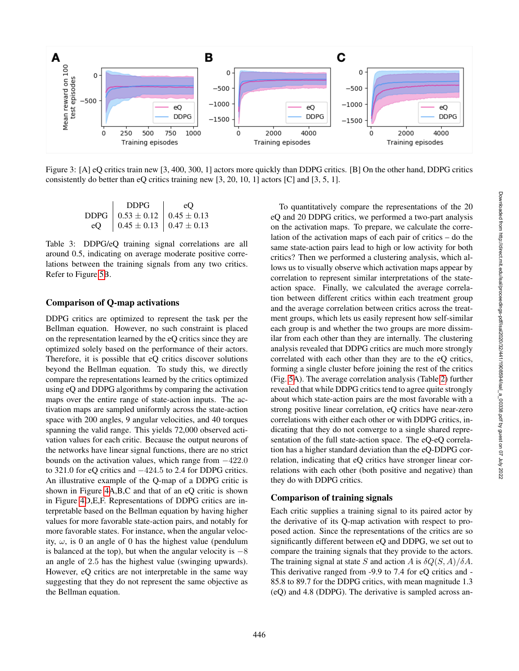

<span id="page-5-0"></span>Figure 3: [A] eQ critics train new [3, 400, 300, 1] actors more quickly than DDPG critics. [B] On the other hand, DDPG critics consistently do better than eQ critics training new [3, 20, 10, 1] actors [C] and [3, 5, 1].

<span id="page-5-1"></span>

|    | DDPG                                                 | e() |
|----|------------------------------------------------------|-----|
|    | DDPG $\vert 0.53 \pm 0.12 \vert 0.45 \pm 0.13 \vert$ |     |
| eO | $0.45 \pm 0.13$   $0.47 \pm 0.13$                    |     |

Table 3: DDPG/eQ training signal correlations are all around 0.5, indicating on average moderate positive correlations between the training signals from any two critics. Refer to Figure [5B](#page-7-6).

# Comparison of Q-map activations

DDPG critics are optimized to represent the task per the Bellman equation. However, no such constraint is placed on the representation learned by the eQ critics since they are optimized solely based on the performance of their actors. Therefore, it is possible that eQ critics discover solutions beyond the Bellman equation. To study this, we directly compare the representations learned by the critics optimized using eQ and DDPG algorithms by comparing the activation maps over the entire range of state-action inputs. The activation maps are sampled uniformly across the state-action space with 200 angles, 9 angular velocities, and 40 torques spanning the valid range. This yields 72,000 observed activation values for each critic. Because the output neurons of the networks have linear signal functions, there are no strict bounds on the activation values, which range from −422.0 to 321.0 for eQ critics and −424.5 to 2.4 for DDPG critics. An illustrative example of the Q-map of a DDPG critic is shown in Figure [4A](#page-6-0),B,C and that of an eQ critic is shown in Figure [4D](#page-6-0),E,F. Representations of DDPG critics are interpretable based on the Bellman equation by having higher values for more favorable state-action pairs, and notably for more favorable states. For instance, when the angular velocity,  $\omega$ , is 0 an angle of 0 has the highest value (pendulum is balanced at the top), but when the angular velocity is  $-8$ an angle of 2.5 has the highest value (swinging upwards). However, eQ critics are not interpretable in the same way suggesting that they do not represent the same objective as the Bellman equation.

To quantitatively compare the representations of the 20 eQ and 20 DDPG critics, we performed a two-part analysis on the activation maps. To prepare, we calculate the correlation of the activation maps of each pair of critics – do the same state-action pairs lead to high or low activity for both critics? Then we performed a clustering analysis, which allows us to visually observe which activation maps appear by correlation to represent similar interpretations of the stateaction space. Finally, we calculated the average correlation between different critics within each treatment group and the average correlation between critics across the treatment groups, which lets us easily represent how self-similar each group is and whether the two groups are more dissimilar from each other than they are internally. The clustering analysis revealed that DDPG critics are much more strongly correlated with each other than they are to the eQ critics, forming a single cluster before joining the rest of the critics (Fig. [5A](#page-7-6)). The average correlation analysis (Table [2\)](#page-4-1) further revealed that while DDPG critics tend to agree quite strongly about which state-action pairs are the most favorable with a strong positive linear correlation, eQ critics have near-zero correlations with either each other or with DDPG critics, indicating that they do not converge to a single shared representation of the full state-action space. The eQ-eQ correlation has a higher standard deviation than the eQ-DDPG correlation, indicating that eQ critics have stronger linear correlations with each other (both positive and negative) than they do with DDPG critics.

# Comparison of training signals

Each critic supplies a training signal to its paired actor by the derivative of its Q-map activation with respect to proposed action. Since the representations of the critics are so significantly different between eQ and DDPG, we set out to compare the training signals that they provide to the actors. The training signal at state S and action A is  $\delta Q(S, A)/\delta A$ . This derivative ranged from -9.9 to 7.4 for eQ critics and - 85.8 to 89.7 for the DDPG critics, with mean magnitude 1.3 (eQ) and 4.8 (DDPG). The derivative is sampled across an-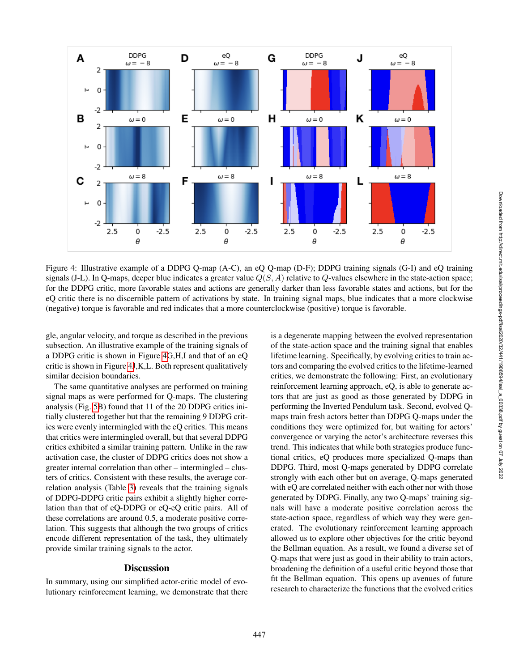

<span id="page-6-0"></span>Figure 4: Illustrative example of a DDPG Q-map (A-C), an eQ Q-map (D-F); DDPG training signals (G-I) and eQ training signals (J-L). In Q-maps, deeper blue indicates a greater value  $Q(S, A)$  relative to Q-values elsewhere in the state-action space; for the DDPG critic, more favorable states and actions are generally darker than less favorable states and actions, but for the eQ critic there is no discernible pattern of activations by state. In training signal maps, blue indicates that a more clockwise (negative) torque is favorable and red indicates that a more counterclockwise (positive) torque is favorable.

gle, angular velocity, and torque as described in the previous subsection. An illustrative example of the training signals of a DDPG critic is shown in Figure [4G](#page-6-0),H,I and that of an eQ critic is shown in Figure [4J](#page-6-0),K,L. Both represent qualitatively similar decision boundaries.

The same quantitative analyses are performed on training signal maps as were performed for Q-maps. The clustering analysis (Fig. [5B](#page-7-6)) found that 11 of the 20 DDPG critics initially clustered together but that the remaining 9 DDPG critics were evenly intermingled with the eQ critics. This means that critics were intermingled overall, but that several DDPG critics exhibited a similar training pattern. Unlike in the raw activation case, the cluster of DDPG critics does not show a greater internal correlation than other – intermingled – clusters of critics. Consistent with these results, the average correlation analysis (Table [3\)](#page-5-1) reveals that the training signals of DDPG-DDPG critic pairs exhibit a slightly higher correlation than that of eQ-DDPG or eQ-eQ critic pairs. All of these correlations are around 0.5, a moderate positive correlation. This suggests that although the two groups of critics encode different representation of the task, they ultimately provide similar training signals to the actor.

### **Discussion**

In summary, using our simplified actor-critic model of evolutionary reinforcement learning, we demonstrate that there is a degenerate mapping between the evolved representation of the state-action space and the training signal that enables lifetime learning. Specifically, by evolving critics to train actors and comparing the evolved critics to the lifetime-learned critics, we demonstrate the following: First, an evolutionary reinforcement learning approach, eQ, is able to generate actors that are just as good as those generated by DDPG in performing the Inverted Pendulum task. Second, evolved Qmaps train fresh actors better than DDPG Q-maps under the conditions they were optimized for, but waiting for actors' convergence or varying the actor's architecture reverses this trend. This indicates that while both strategies produce functional critics, eQ produces more specialized Q-maps than DDPG. Third, most Q-maps generated by DDPG correlate strongly with each other but on average, Q-maps generated with eQ are correlated neither with each other nor with those generated by DDPG. Finally, any two Q-maps' training signals will have a moderate positive correlation across the state-action space, regardless of which way they were generated. The evolutionary reinforcement learning approach allowed us to explore other objectives for the critic beyond the Bellman equation. As a result, we found a diverse set of Q-maps that were just as good in their ability to train actors, broadening the definition of a useful critic beyond those that fit the Bellman equation. This opens up avenues of future research to characterize the functions that the evolved critics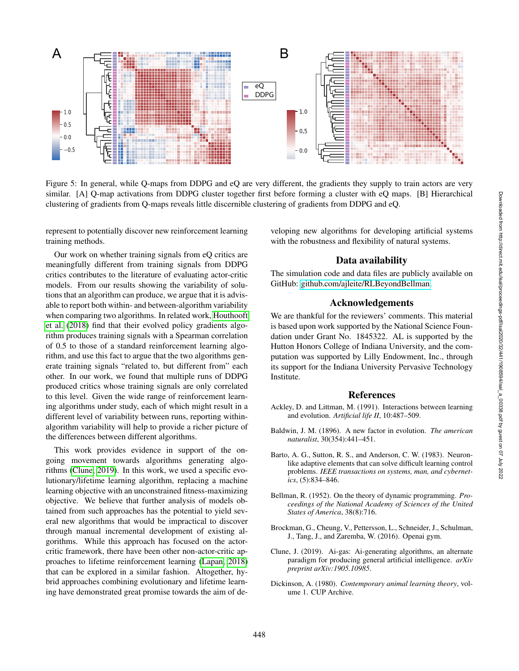

<span id="page-7-6"></span>Figure 5: In general, while Q-maps from DDPG and eQ are very different, the gradients they supply to train actors are very similar. [A] Q-map activations from DDPG cluster together first before forming a cluster with eQ maps. [B] Hierarchical clustering of gradients from Q-maps reveals little discernible clustering of gradients from DDPG and eQ.

represent to potentially discover new reinforcement learning training methods.

Our work on whether training signals from eQ critics are meaningfully different from training signals from DDPG critics contributes to the literature of evaluating actor-critic models. From our results showing the variability of solutions that an algorithm can produce, we argue that it is advisable to report both within- and between-algorithm variability when comparing two algorithms. In related work, [Houthooft](#page-8-15) [et al.](#page-8-15) [\(2018\)](#page-8-15) find that their evolved policy gradients algorithm produces training signals with a Spearman correlation of 0.5 to those of a standard reinforcement learning algorithm, and use this fact to argue that the two algorithms generate training signals "related to, but different from" each other. In our work, we found that multiple runs of DDPG produced critics whose training signals are only correlated to this level. Given the wide range of reinforcement learning algorithms under study, each of which might result in a different level of variability between runs, reporting withinalgorithm variability will help to provide a richer picture of the differences between different algorithms.

This work provides evidence in support of the ongoing movement towards algorithms generating algorithms [\(Clune, 2019\)](#page-7-7). In this work, we used a specific evolutionary/lifetime learning algorithm, replacing a machine learning objective with an unconstrained fitness-maximizing objective. We believe that further analysis of models obtained from such approaches has the potential to yield several new algorithms that would be impractical to discover through manual incremental development of existing algorithms. While this approach has focused on the actorcritic framework, there have been other non-actor-critic approaches to lifetime reinforcement learning [\(Lapan, 2018\)](#page-8-21) that can be explored in a similar fashion. Altogether, hybrid approaches combining evolutionary and lifetime learning have demonstrated great promise towards the aim of developing new algorithms for developing artificial systems with the robustness and flexibility of natural systems.

# Data availability

The simulation code and data files are publicly available on GitHub: [github.com/ajleite/RLBeyondBellman.](https://github.com/ajleite/RLBeyondBellman)

# Acknowledgements

We are thankful for the reviewers' comments. This material is based upon work supported by the National Science Foundation under Grant No. 1845322. AL is supported by the Hutton Honors College of Indiana University, and the computation was supported by Lilly Endowment, Inc., through its support for the Indiana University Pervasive Technology Institute.

## References

- <span id="page-7-4"></span>Ackley, D. and Littman, M. (1991). Interactions between learning and evolution. *Artificial life II*, 10:487–509.
- <span id="page-7-3"></span>Baldwin, J. M. (1896). A new factor in evolution. *The american naturalist*, 30(354):441–451.
- <span id="page-7-1"></span>Barto, A. G., Sutton, R. S., and Anderson, C. W. (1983). Neuronlike adaptive elements that can solve difficult learning control problems. *IEEE transactions on systems, man, and cybernetics*, (5):834–846.
- <span id="page-7-2"></span>Bellman, R. (1952). On the theory of dynamic programming. *Proceedings of the National Academy of Sciences of the United States of America*, 38(8):716.
- <span id="page-7-5"></span>Brockman, G., Cheung, V., Pettersson, L., Schneider, J., Schulman, J., Tang, J., and Zaremba, W. (2016). Openai gym.
- <span id="page-7-7"></span>Clune, J. (2019). Ai-gas: Ai-generating algorithms, an alternate paradigm for producing general artificial intelligence. *arXiv preprint arXiv:1905.10985*.
- <span id="page-7-0"></span>Dickinson, A. (1980). *Contemporary animal learning theory*, volume 1. CUP Archive.